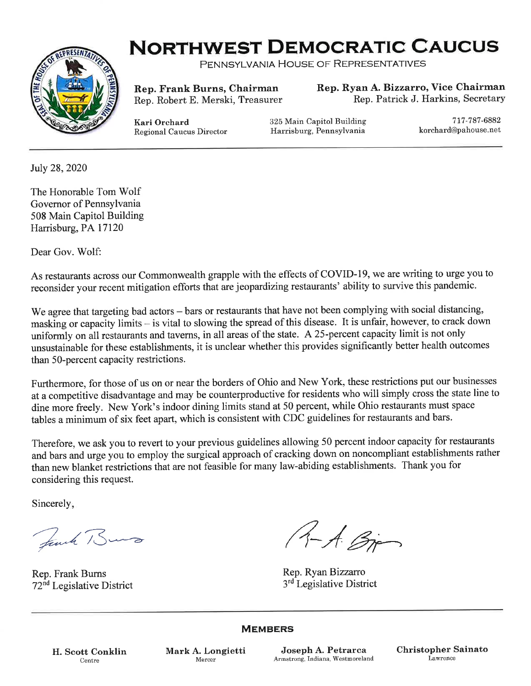

## **NORTHWEST DEMOCRATIC CAUCUS**

PENNSYLVANIA HOUSE OF REPRESENTATIVES

Rep. Frank Burns, Chairman Rep. Robert E. Merski, Treasurer Rep. Ryan A.Bizzarro, Vice Chairman Rep. Patrick J. Harkins, SecretarY

Kari Orchard Regional Caucus Director 325 Main Capitol Building Harrisburg, Pennsylvania

717 -787 -6882 korchard@pahouse.net

July 28, 2020

The Honorable Tom Wolf Governor of Pennsylvania 508 Main Capitol Building Harrisburg, PA 17120

Dear Gov. Wolf:

As restaurants across our Commonwealth grapple with the effects of COVID-19, we are writing to urge you to reconsider your recent mitigation efforts that are jeopardizing restaurants' ability to survive this pandemic.

We agree that targeting bad actors - bars or restaurants that have not been complying with social distancing, masking or capacity limits - is vital to slowing the spread of this disease. It is unfair, however, to crack down uniformly on all restaurants and taverns, in all areas of the state. A 25-percent capacity limit is not only unsustainable for these establishments, it is unclear whether this provides significantly better health outcomes than 5O-percent capacity restrictions.

Furthermore, for those of us on or near the borders of Ohio and New York, these restrictions put our businesses at a competitive disadvantage and may be counterproductive for residents who will simply cross the state line to dine more freely. New York's indoor dining limits stand at 50 percent, while Ohio restaurants must space tables a minimum of six feet apart, which is consistent with CDC guidelines for restaurants and bars.

Therefore, we ask you to revert to your previous guidelines allowing 50 percent indoor capacity for restaurants and bars and urge you to employ the surgical approach of cracking down on noncompliant establishments rather than new blanket restrictions that are not feasible for many law-abiding establishments. Thank you for considering this request.

Sincerely

Rep. Frank Burns <sup>7</sup>2"d Legislative District

Jank Burs (4-A. Bjør)

Rep. Ryan Bizzarro 3<sup>rd</sup> Legislative District

**MEMBERS** 

H. Scott Conklin Centre

Mark A. Longietti Joseph A. Petrarca Mercer Armstrong, Indiana, Westmoreland Christopher Sainato Lawrence